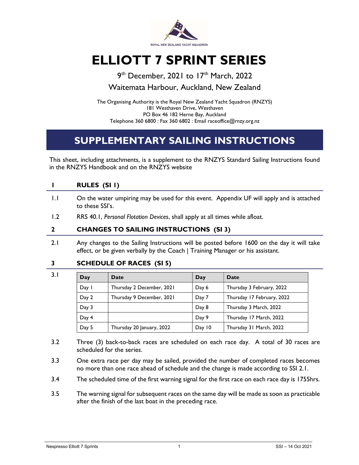

# ELLIOTT 7 SPRINT SERIES

9<sup>th</sup> December, 2021 to 17<sup>th</sup> March, 2022 Waitemata Harbour, Auckland, New Zealand

The Organising Authority is the Royal New Zealand Yacht Squadron (RNZYS) 181 Westhaven Drive, Westhaven PO Box 46 182 Herne Bay, Auckland Telephone 360 6800 : Fax 360 6802 : Email raceoffice@rnzy.org.nz

# SUPPLEMENTARY SAILING INSTRUCTIONS

This sheet, including attachments, is a supplement to the RNZYS Standard Sailing Instructions found in the RNZYS Handbook and on the RNZYS website

|         | RULES (SI I)                                                                                                |
|---------|-------------------------------------------------------------------------------------------------------------|
| $\pm 1$ | On the water umpiring may be used for this event. Appendix UF will apply and is attached<br>to these SSI's. |
| 1.2     | RRS 40.1, Personal Flotation Devices, shall apply at all times while afloat.                                |
|         | <b>CHANGES TO SAILING INSTRUCTIONS (SI 3)</b>                                                               |

2.1 Any changes to the Sailing Instructions will be posted before 1600 on the day it will take effect, or be given verbally by the Coach | Training Manager or his assistant.

#### 3 SCHEDULE OF RACES (SI 5)

| 3.1 | Day   | <b>Date</b>               | Day    | Date                       |
|-----|-------|---------------------------|--------|----------------------------|
|     | Day 1 | Thursday 2 December, 2021 | Day 6  | Thursday 3 February, 2022  |
|     | Day 2 | Thursday 9 December, 2021 | Day 7  | Thursday 17 February, 2022 |
|     | Day 3 |                           | Day 8  | Thursday 3 March, 2022     |
|     | Day 4 |                           | Day 9  | Thursday 17 March, 2022    |
|     | Day 5 | Thursday 20 January, 2022 | Day 10 | Thursday 31 March, 2022    |

- 3.2 Three (3) back-to-back races are scheduled on each race day. A total of 30 races are scheduled for the series.
- 3.3 One extra race per day may be sailed, provided the number of completed races becomes no more than one race ahead of schedule and the change is made according to SSI 2.1.
- 3.4 The scheduled time of the first warning signal for the first race on each race day is 1755hrs.
- 3.5 The warning signal for subsequent races on the same day will be made as soon as practicable after the finish of the last boat in the preceding race.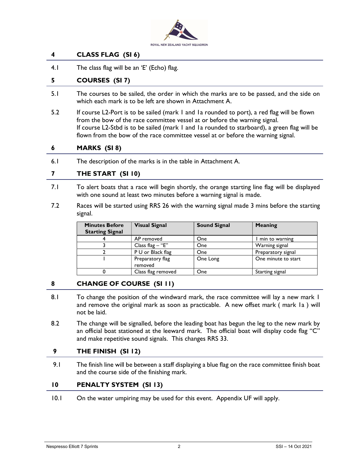

#### 4 CLASS FLAG (SI 6)

4.1 The class flag will be an 'E' (Echo) flag.

#### 5 COURSES (SI 7)

- 5.1 The courses to be sailed, the order in which the marks are to be passed, and the side on which each mark is to be left are shown in Attachment A.
- 5.2 If course L2-Port is to be sailed (mark 1 and 1a rounded to port), a red flag will be flown from the bow of the race committee vessel at or before the warning signal. If course L2-Stbd is to be sailed (mark 1 and 1a rounded to starboard), a green flag will be flown from the bow of the race committee vessel at or before the warning signal.

#### 6 MARKS (SI 8)

6.1 The description of the marks is in the table in Attachment A.

#### 7 THE START (SI 10)

- 7.1 To alert boats that a race will begin shortly, the orange starting line flag will be displayed with one sound at least two minutes before a warning signal is made.
- 7.2 Races will be started using RRS 26 with the warning signal made 3 mins before the starting signal.

| <b>Minutes Before</b><br><b>Starting Signal</b> | <b>Visual Signal</b>        | <b>Sound Signal</b> | Meaning             |
|-------------------------------------------------|-----------------------------|---------------------|---------------------|
|                                                 | AP removed                  | <b>One</b>          | I min to warning    |
|                                                 | Class flag $-$ "E"          | <b>One</b>          | Warning signal      |
|                                                 | P U or Black flag           | One                 | Preparatory signal  |
|                                                 | Preparatory flag<br>removed | One Long            | One minute to start |
|                                                 | Class flag removed          | One                 | Starting signal     |

#### 8 CHANGE OF COURSE (SI 11)

- 8.1 To change the position of the windward mark, the race committee will lay a new mark 1 and remove the original mark as soon as practicable. A new offset mark ( mark 1a ) will not be laid.
- 8.2 The change will be signalled, before the leading boat has begun the leg to the new mark by an official boat stationed at the leeward mark. The official boat will display code flag "C" and make repetitive sound signals. This changes RRS 33.

#### 9 THE FINISH (SI 12)

9.1 The finish line will be between a staff displaying a blue flag on the race committee finish boat and the course side of the finishing mark.

#### 10 PENALTY SYSTEM (SI 13)

10.1 On the water umpiring may be used for this event. Appendix UF will apply.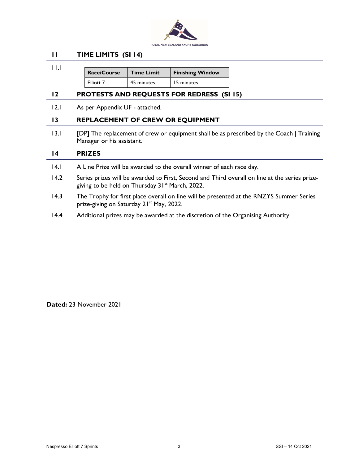

#### 11 TIME LIMITS (SI 14)

 11.1  $Race/Course$  Time Limit Finishing Window Elliott 7 | 45 minutes | 15 minutes

#### 12 PROTESTS AND REQUESTS FOR REDRESS (SI 15)

12.1 As per Appendix UF - attached.

#### 13 REPLACEMENT OF CREW OR EQUIPMENT

13.1 [DP] The replacement of crew or equipment shall be as prescribed by the Coach | Training Manager or his assistant.

#### 14 PRIZES

- 14.1 A Line Prize will be awarded to the overall winner of each race day.
- 14.2 Series prizes will be awarded to First, Second and Third overall on line at the series prizegiving to be held on Thursday 31<sup>st</sup> March, 2022.
- 14.3 The Trophy for first place overall on line will be presented at the RNZYS Summer Series prize-giving on Saturday 21<sup>st</sup> May, 2022.
- 14.4 Additional prizes may be awarded at the discretion of the Organising Authority.

Dated: 23 November 2021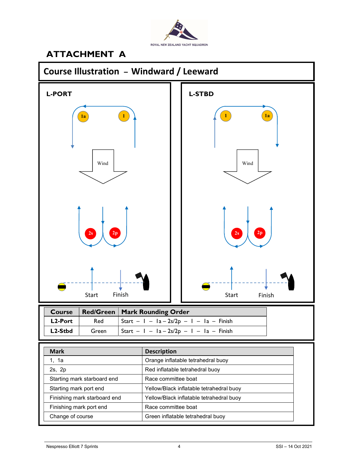

## ATTACHMENT A



| 2s, 2p                       | Red inflatable tetrahedral buoy          |
|------------------------------|------------------------------------------|
| Starting mark starboard end  | Race committee boat                      |
| Starting mark port end       | Yellow/Black inflatable tetrahedral buoy |
| Finishing mark starboard end | Yellow/Black inflatable tetrahedral buoy |
| Finishing mark port end      | Race committee boat                      |
| Change of course             | Green inflatable tetrahedral buoy        |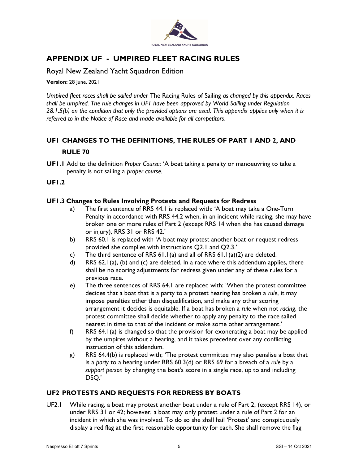

### APPENDIX UF - UMPIRED FLEET RACING RULES

Royal New Zealand Yacht Squadron Edition

**Version: 28 June, 2021** 

Umpired fleet races shall be sailed under The Racing Rules of Sailing as changed by this appendix. Races shall be umpired. The rule changes in UF1 have been approved by World Sailing under Regulation 28.1.5(b) on the condition that only the provided options are used. This appendix applies only when it is referred to in the Notice of Race and made available for all competitors.

### UF1 CHANGES TO THE DEFINITIONS, THE RULES OF PART 1 AND 2, AND RULE 70

UF1.1 Add to the definition Proper Course: 'A boat taking a penalty or manoeuvring to take a penalty is not sailing a proper course.

#### UF1.2

#### UF1.3 Changes to Rules Involving Protests and Requests for Redress

- a) The first sentence of RRS 44.1 is replaced with: 'A boat may take a One-Turn Penalty in accordance with RRS 44.2 when, in an incident while racing, she may have broken one or more rules of Part 2 (except RRS 14 when she has caused damage or injury), RRS 31 or RRS 42.'
- b) RRS 60.1 is replaced with 'A boat may protest another boat or request redress provided she complies with instructions Q2.1 and Q2.3.'
- c) The third sentence of RRS  $61.1(a)$  and all of RRS  $61.1(a)(2)$  are deleted.
- d) RRS 62.1(a), (b) and (c) are deleted. In a race where this addendum applies, there shall be no scoring adjustments for redress given under any of these rules for a previous race.
- e) The three sentences of RRS 64.1 are replaced with: 'When the protest committee decides that a boat that is a party to a protest hearing has broken a rule, it may impose penalties other than disqualification, and make any other scoring arrangement it decides is equitable. If a boat has broken a rule when not racing, the protest committee shall decide whether to apply any penalty to the race sailed nearest in time to that of the incident or make some other arrangement.'
- f) RRS 64.1(a) is changed so that the provision for exonerating a boat may be applied by the umpires without a hearing, and it takes precedent over any conflicting instruction of this addendum.
- g) RRS 64.4(b) is replaced with; 'The protest committee may also penalise a boat that is a party to a hearing under RRS 60.3(d) or RRS 69 for a breach of a rule by a support person by changing the boat's score in a single race, up to and including DSQ.'

#### UF2 PROTESTS AND REQUESTS FOR REDRESS BY BOATS

UF2.1 While racing, a boat may protest another boat under a rule of Part 2, (except RRS 14), or under RRS 31 or 42; however, a boat may only protest under a rule of Part 2 for an incident in which she was involved. To do so she shall hail 'Protest' and conspicuously display a red flag at the first reasonable opportunity for each. She shall remove the flag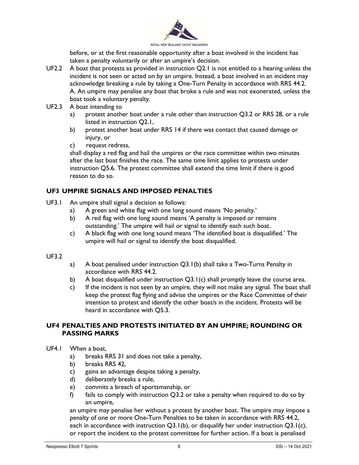

before, or at the first reasonable opportunity after a boat involved in the incident has taken a penalty voluntarily or after an umpire's decision.

- UF2.2 A boat that protests as provided in instruction Q2.1 is not entitled to a hearing unless the incident is not seen or acted on by an umpire. Instead, a boat involved in an incident may acknowledge breaking a rule by taking a One-Turn Penalty in accordance with RRS 44.2. A. An umpire may penalise any boat that broke a rule and was not exonerated, unless the boat took a voluntary penalty.
- UF2.3 A boat intending to
	- a) protest another boat under a rule other than instruction Q3.2 or RRS 28, or a rule listed in instruction Q2.1,
	- b) protest another boat under RRS 14 if there was contact that caused damage or injury, or
	- c) request redress,

shall display a red flag and hail the umpires or the race committee within two minutes after the last boat finishes the race. The same time limit applies to protests under instruction Q5.6. The protest committee shall extend the time limit if there is good reason to do so.

#### UF3 UMPIRE SIGNALS AND IMPOSED PENALTIES

- UF3.1 An umpire shall signal a decision as follows:
	- a) A green and white flag with one long sound means 'No penalty.'
	- b) A red flag with one long sound means 'A penalty is imposed or remains outstanding.' The umpire will hail or signal to identify each such boat.
	- c) A black flag with one long sound means 'The identified boat is disqualified.' The umpire will hail or signal to identify the boat disqualified.

#### UF3.2

- a) A boat penalised under instruction Q3.1(b) shall take a Two-Turns Penalty in accordance with RRS 44.2.
- b) A boat disqualified under instruction Q3.1(c) shall promptly leave the course area.
- c) If the incident is not seen by an umpire, they will not make any signal. The boat shall keep the protest flag flying and advise the umpires or the Race Committee of their intention to protest and identify the other boat/s in the incident. Protests will be heard in accordance with Q5.3.

#### UF4 PENALTIES AND PROTESTS INITIATED BY AN UMPIRE; ROUNDING OR PASSING MARKS

- UF4.1 When a boat,
	- a) breaks RRS 31 and does not take a penalty,
	- b) breaks RRS 42,
	- c) gains an advantage despite taking a penalty,
	- d) deliberately breaks a rule,
	- e) commits a breach of sportsmanship, or
	- f) fails to comply with instruction  $Q3.2$  or take a penalty when required to do so by an umpire,

an umpire may penalise her without a protest by another boat. The umpire may impose a penalty of one or more One-Turn Penalties to be taken in accordance with RRS 44.2, each in accordance with instruction  $Q3.1(b)$ , or disqualify her under instruction  $Q3.1(c)$ , or report the incident to the protest committee for further action. If a boat is penalised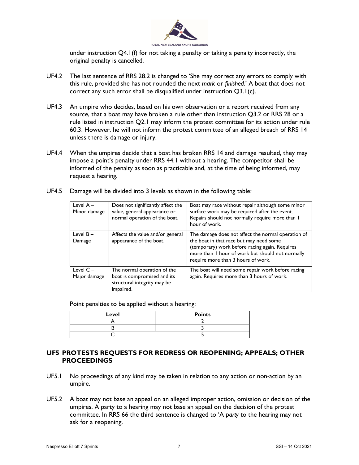

under instruction  $Q4.1(f)$  for not taking a penalty or taking a penalty incorrectly, the original penalty is cancelled.

- UF4.2 The last sentence of RRS 28.2 is changed to 'She may correct any errors to comply with this rule, provided she has not rounded the next mark or finished.' A boat that does not correct any such error shall be disqualified under instruction Q3.1(c).
- UF4.3 An umpire who decides, based on his own observation or a report received from any source, that a boat may have broken a rule other than instruction Q3.2 or RRS 28 or a rule listed in instruction Q2.1 may inform the protest committee for its action under rule 60.3. However, he will not inform the protest committee of an alleged breach of RRS 14 unless there is damage or injury.
- UF4.4 When the umpires decide that a boat has broken RRS 14 and damage resulted, they may impose a point's penalty under RRS 44.1 without a hearing. The competitor shall be informed of the penalty as soon as practicable and, at the time of being informed, may request a hearing.

|  |  |  |  | UF4.5 Damage will be divided into 3 levels as shown in the following table: |
|--|--|--|--|-----------------------------------------------------------------------------|
|--|--|--|--|-----------------------------------------------------------------------------|

| Level $A -$<br>Minor damage | Does not significantly affect the<br>value, general appearance or<br>normal operation of the boat.     | Boat may race without repair although some minor<br>surface work may be required after the event.<br>Repairs should not normally require more than I<br>hour of work.                                                                     |
|-----------------------------|--------------------------------------------------------------------------------------------------------|-------------------------------------------------------------------------------------------------------------------------------------------------------------------------------------------------------------------------------------------|
| Level $B -$<br>Damage       | Affects the value and/or general<br>appearance of the boat.                                            | The damage does not affect the normal operation of<br>the boat in that race but may need some<br>(temporary) work before racing again. Requires<br>more than I hour of work but should not normally<br>require more than 3 hours of work. |
| Level $C -$<br>Major damage | The normal operation of the<br>boat is compromised and its<br>structural integrity may be<br>impaired. | The boat will need some repair work before racing<br>again. Requires more than 3 hours of work.                                                                                                                                           |

Point penalties to be applied without a hearing:

| Level | <b>Points</b> |
|-------|---------------|
|       |               |
|       |               |
|       |               |

#### UF5 PROTESTS REQUESTS FOR REDRESS OR REOPENING; APPEALS; OTHER PROCEEDINGS

- UF5.1 No proceedings of any kind may be taken in relation to any action or non-action by an umpire.
- UF5.2 A boat may not base an appeal on an alleged improper action, omission or decision of the umpires. A party to a hearing may not base an appeal on the decision of the protest committee. In RRS 66 the third sentence is changed to 'A party to the hearing may not ask for a reopening.